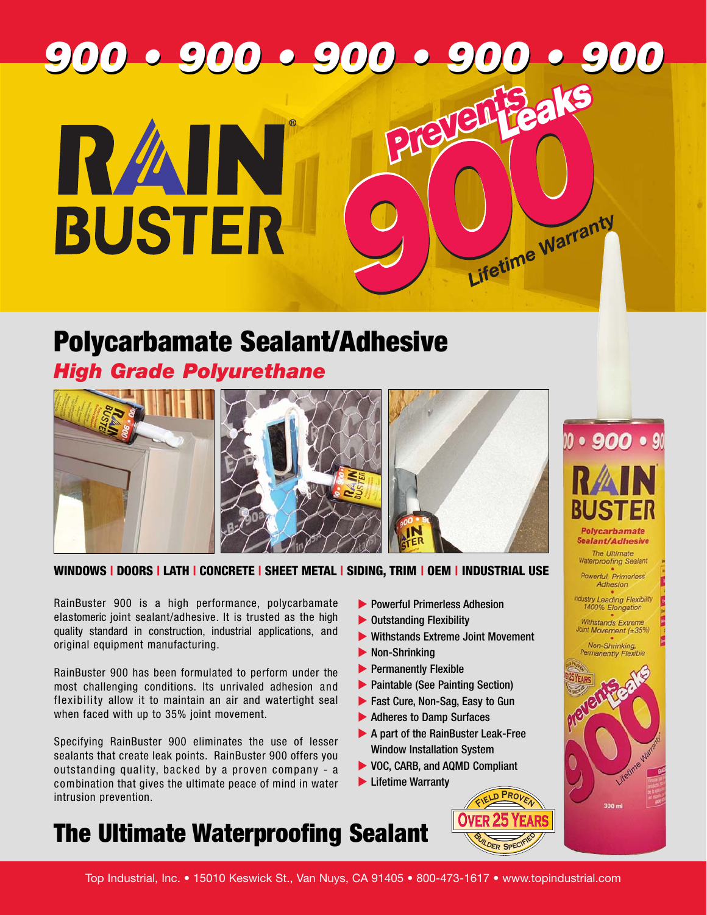# **900 • 900 • 900 • 900 • 900 900 • 900 • 900 • 900 • 900 Preventsaks** RZAIN **BUSTER** Lifetime Warranty

# **Polycarbamate Sealant/Adhesive**

## *High Grade Polyurethane*



**WINDOWS | DOORS | LATH | CONCRETE | SHEET METAL | SIDING, TRIM | OEM | INDUSTRIAL USE**

RainBuster 900 is a high performance, polycarbamate elastomeric joint sealant/adhesive. It is trusted as the high quality standard in construction, industrial applications, and original equipment manufacturing.

RainBuster 900 has been formulated to perform under the most challenging conditions. Its unrivaled adhesion and flexibility allow it to maintain an air and watertight seal when faced with up to 35% joint movement.

Specifying RainBuster 900 eliminates the use of lesser sealants that create leak points. RainBuster 900 offers you outstanding quality, backed by a proven company - a combination that gives the ultimate peace of mind in water intrusion prevention.

- **Powerful Primerless Adhesion**
- ▶ Outstanding Flexibility
- Withstands Extreme Joint Movement
- **Non-Shrinking**
- **EXECUTE:** Permanently Flexible
- **Paintable (See Painting Section)**
- ▶ Fast Cure, Non-Sag, Easy to Gun
- ▶ Adheres to Damp Surfaces
- ▶ A part of the RainBuster Leak-Free Window Installation System
- ▶ VOC, CARB, and AQMD Compliant
- **Lifetime Warranty**









# **The Ultimate Waterproofing Sealant**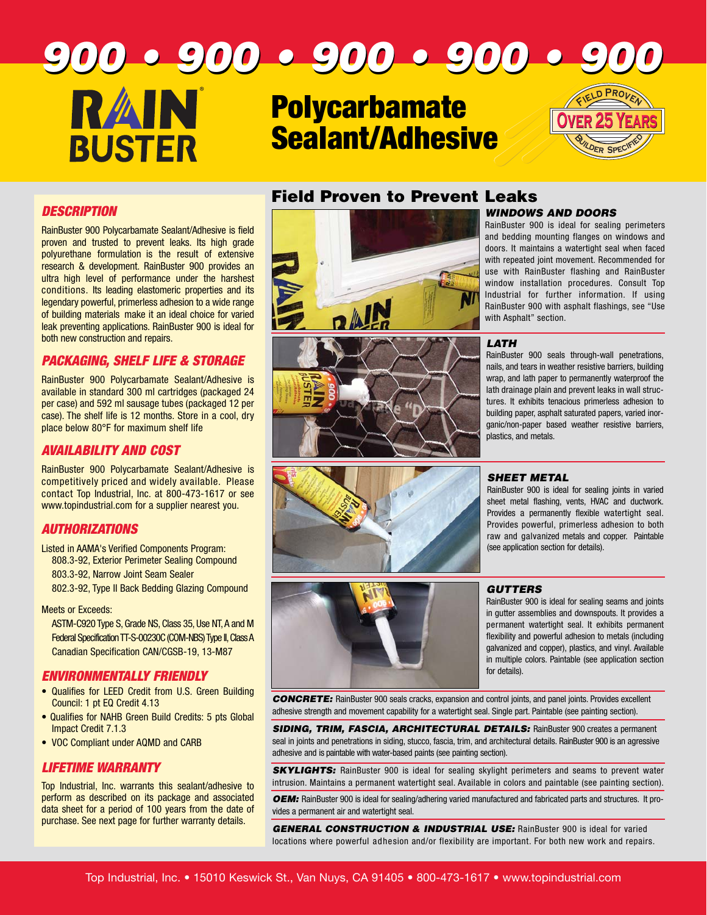## **900 • 900 • 900 • 900 • 900 900 • 900 • 900 • 900 • 900 RAIN <sup>F</sup><sup>i</sup>el<sup>d</sup> <sup>P</sup>rove<sup>n</sup> Polycarbamate Over 25 Years Over 25 Years Sealant/Adhesive BUSTER <sup>B</sup>uilde<sup>r</sup> <sup>S</sup>pecifie<sup>d</sup>**

#### **DESCRIPTION**

RainBuster 900 Polycarbamate Sealant/Adhesive is field proven and trusted to prevent leaks. Its high grade polyurethane formulation is the result of extensive research & development. RainBuster 900 provides an ultra high level of performance under the harshest conditions. Its leading elastomeric properties and its legendary powerful, primerless adhesion to a wide range of building materials make it an ideal choice for varied leak preventing applications. RainBuster 900 is ideal for both new construction and repairs.

### **PACKAGING, SHELF LIFE & STORAGE**

RainBuster 900 Polycarbamate Sealant/Adhesive is available in standard 300 ml cartridges (packaged 24 per case) and 592 ml sausage tubes (packaged 12 per case). The shelf life is 12 months. Store in a cool, dry place below 80°F for maximum shelf life

#### **AVAILABILITY AND COST**

RainBuster 900 Polycarbamate Sealant/Adhesive is competitively priced and widely available. Please contact Top Industrial, Inc. at 800-473-1617 or see www.topindustrial.com for a supplier nearest you.

### **AUTHORIZATIONS**

Listed in AAMA's Verified Components Program: 808.3-92, Exterior Perimeter Sealing Compound 803.3-92, Narrow Joint Seam Sealer 802.3-92, Type II Back Bedding Glazing Compound

Meets or Exceeds:

ASTM-C920 Type S, Grade NS, Class 35, Use NT, A and M Federal Specification TT-S-00230C (COM-NBS) Type II,Class A Canadian Specification CAN/CGSB-19, 13-M87

#### **ENVIRONMENTALLY FRIENDLY**

- Qualifies for LEED Credit from U.S. Green Building Council: 1 pt EQ Credit 4.13
- Qualifies for NAHB Green Build Credits: 5 pts Global Impact Credit 7.1.3
- VOC Compliant under AQMD and CARB

## **LIFETIME WARRANTY**

Top Industrial, Inc. warrants this sealant/adhesive to perform as described on its package and associated data sheet for a period of 100 years from the date of purchase. See next page for further warranty details.







#### **Field Proven to Prevent Leaks WINDOWS AND DOORS**

RainBuster 900 is ideal for sealing perimeters and bedding mounting flanges on windows and doors. It maintains a watertight seal when faced with repeated joint movement. Recommended for use with RainBuster flashing and RainBuster window installation procedures. Consult Top Industrial for further information. If using RainBuster 900 with asphalt flashings, see "Use with Asphalt" section.

#### **LATH**

RainBuster 900 seals through-wall penetrations, nails, and tears in weather resistive barriers, building wrap, and lath paper to permanently waterproof the lath drainage plain and prevent leaks in wall structures. It exhibits tenacious primerless adhesion to building paper, asphalt saturated papers, varied inorganic/non-paper based weather resistive barriers, plastics, and metals.

#### **SHEET METAL**

RainBuster 900 is ideal for sealing joints in varied sheet metal flashing, vents, HVAC and ductwork. Provides a permanently flexible watertight seal. Provides powerful, primerless adhesion to both raw and galvanized metals and copper. Paintable (see application section for details).

#### **GUTTERS**

RainBuster 900 is ideal for sealing seams and joints in gutter assemblies and downspouts. It provides a permanent watertight seal. It exhibits permanent flexibility and powerful adhesion to metals (including galvanized and copper), plastics, and vinyl. Available in multiple colors. Paintable (see application section for details).

**CONCRETE:** RainBuster 900 seals cracks, expansion and control joints, and panel joints. Provides excellent adhesive strength and movement capability for a watertight seal. Single part. Paintable (see painting section).

**SIDING, TRIM, FASCIA, ARCHITECTURAL DETAILS:** RainBuster 900 creates a permanent seal in joints and penetrations in siding, stucco, fascia, trim, and architectural details. RainBuster 900 is an agressive adhesive and is paintable with water-based paints (see painting section).

**SKYLIGHTS:** RainBuster 900 is ideal for sealing skylight perimeters and seams to prevent water intrusion. Maintains a permanent watertight seal. Available in colors and paintable (see painting section).

**OEM:** RainBuster 900 is ideal for sealing/adhering varied manufactured and fabricated parts and structures. It provides a permanent air and watertight seal.

**GENERAL CONSTRUCTION & INDUSTRIAL USE:** RainBuster 900 is ideal for varied locations where powerful adhesion and/or flexibility are important. For both new work and repairs.

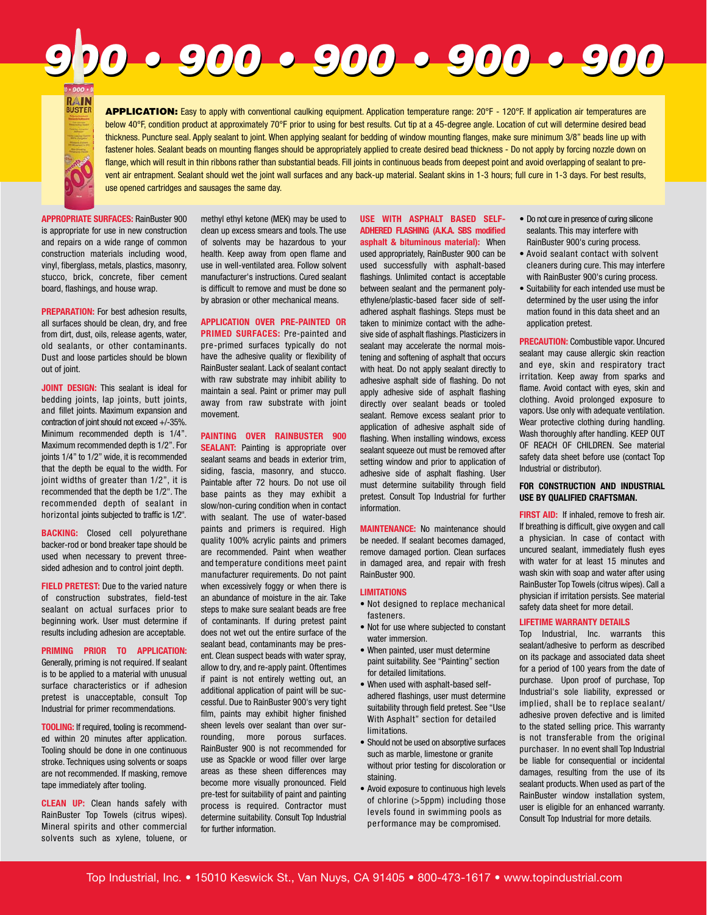**APPLICATION:** Easy to apply with conventional caulking equipment. Application temperature range: 20°F - 120°F. If application air temperatures are below 40°F, condition product at approximately 70°F prior to using for best results. Cut tip at a 45-degree angle. Location of cut will determine desired bead thickness. Puncture seal. Apply sealant to joint. When applying sealant for bedding of window mounting flanges, make sure minimum 3/8" beads line up with fastener holes. Sealant beads on mounting flanges should be appropriately applied to create desired bead thickness - Do not apply by forcing nozzle down on flange, which will result in thin ribbons rather than substantial beads. Fill joints in continuous beads from deepest point and avoid overlapping of sealant to prevent air entrapment. Sealant should wet the joint wall surfaces and any back-up material. Sealant skins in 1-3 hours; full cure in 1-3 days. For best results,

**900 • 900 • 900 • 900 • 900 900 • 900 • 900 • 900 • 900** 

**APPROPRIATE SURFACES:** RainBuster 900 is appropriate for use in new construction and repairs on a wide range of common construction materials including wood, vinyl, fiberglass, metals, plastics, masonry, stucco, brick, concrete, fiber cement board, flashings, and house wrap.

use opened cartridges and sausages the same day.

**PREPARATION:** For best adhesion results, all surfaces should be clean, dry, and free from dirt, dust, oils, release agents, water, old sealants, or other contaminants. Dust and loose particles should be blown out of joint.

**JOINT DESIGN:** This sealant is ideal for bedding joints, lap joints, butt joints, and fillet joints. Maximum expansion and contraction of joint should not exceed +/-35%. Minimum recommended depth is 1/4". Maximum recommended depth is 1/2". For joints 1/4" to 1/2" wide, it is recommended that the depth be equal to the width. For joint widths of greater than 1/2", it is recommended that the depth be 1/2". The recommended depth of sealant in horizontal joints subjected to traffic is 1/2".

**BACKING:** Closed cell polyurethane backer-rod or bond breaker tape should be used when necessary to prevent threesided adhesion and to control joint depth.

**FIELD PRETEST:** Due to the varied nature of construction substrates, field-test sealant on actual surfaces prior to beginning work. User must determine if results including adhesion are acceptable.

**PRIMING PRIOR TO APPLICATION:** Generally, priming is not required. If sealant is to be applied to a material with unusual surface characteristics or if adhesion pretest is unacceptable, consult Top Industrial for primer recommendations.

**TOOLING:** If required, tooling is recommended within 20 minutes after application. Tooling should be done in one continuous stroke. Techniques using solvents or soaps are not recommended. If masking, remove tape immediately after tooling.

**CLEAN UP:** Clean hands safely with RainBuster Top Towels (citrus wipes). Mineral spirits and other commercial solvents such as xylene, toluene, or

methyl ethyl ketone (MEK) may be used to clean up excess smears and tools. The use of solvents may be hazardous to your health. Keep away from open flame and use in well-ventilated area. Follow solvent manufacturer's instructions. Cured sealant is difficult to remove and must be done so by abrasion or other mechanical means.

**APPLICATION OVER PRE-PAINTED OR PRIMED SURFACES:** Pre-painted and pre-primed surfaces typically do not have the adhesive quality or flexibility of RainBuster sealant. Lack of sealant contact with raw substrate may inhibit ability to maintain a seal. Paint or primer may pull away from raw substrate with joint movement.

**PAINTING OVER RAINBUSTER 900 SEALANT:** Painting is appropriate over sealant seams and beads in exterior trim, siding, fascia, masonry, and stucco. Paintable after 72 hours. Do not use oil base paints as they may exhibit a slow/non-curing condition when in contact with sealant. The use of water-based paints and primers is required. High quality 100% acrylic paints and primers are recommended. Paint when weather and temperature conditions meet paint manufacturer requirements. Do not paint when excessively foggy or when there is an abundance of moisture in the air. Take steps to make sure sealant beads are free of contaminants. If during pretest paint does not wet out the entire surface of the sealant bead, contaminants may be present. Clean suspect beads with water spray, allow to dry, and re-apply paint. Oftentimes if paint is not entirely wetting out, an additional application of paint will be successful. Due to RainBuster 900's very tight film, paints may exhibit higher finished sheen levels over sealant than over surrounding, more porous surfaces. RainBuster 900 is not recommended for use as Spackle or wood filler over large areas as these sheen differences may become more visually pronounced. Field pre-test for suitability of paint and painting process is required. Contractor must determine suitability. Consult Top Industrial for further information.

**USE WITH ASPHALT BASED SELF-ADHERED FLASHING (A.K.A. SBS modified asphalt & bituminous material):** When used appropriately, RainBuster 900 can be

used successfully with asphalt-based flashings. Unlimited contact is acceptable between sealant and the permanent polyethylene/plastic-based facer side of selfadhered asphalt flashings. Steps must be taken to minimize contact with the adhesive side of asphalt flashings. Plasticizers in sealant may accelerate the normal moistening and softening of asphalt that occurs with heat. Do not apply sealant directly to adhesive asphalt side of flashing. Do not apply adhesive side of asphalt flashing directly over sealant beads or tooled sealant. Remove excess sealant prior to application of adhesive asphalt side of flashing. When installing windows, excess sealant squeeze out must be removed after setting window and prior to application of adhesive side of asphalt flashing. User must determine suitability through field pretest. Consult Top Industrial for further information.

**MAINTENANCE:** No maintenance should be needed. If sealant becomes damaged, remove damaged portion. Clean surfaces in damaged area, and repair with fresh RainBuster 900.

#### **LIMITATIONS**

- Not designed to replace mechanical fasteners.
- Not for use where subjected to constant water immersion.
- When painted, user must determine paint suitability. See "Painting" section for detailed limitations.
- When used with asphalt-based selfadhered flashings, user must determine suitability through field pretest. See "Use With Asphalt" section for detailed **limitations**
- Should not be used on absorptive surfaces such as marble, limestone or granite without prior testing for discoloration or staining.
- Avoid exposure to continuous high levels of chlorine (>5ppm) including those levels found in swimming pools as performance may be compromised.
- Do not cure in presence of curing silicone sealants. This may interfere with RainBuster 900's curing process.
- Avoid sealant contact with solvent cleaners during cure. This may interfere with RainBuster 900's curing process.
- Suitability for each intended use must be determined by the user using the infor mation found in this data sheet and an application pretest.

**PRECAUTION:** Combustible vapor. Uncured sealant may cause allergic skin reaction and eye, skin and respiratory tract irritation. Keep away from sparks and flame. Avoid contact with eyes, skin and clothing. Avoid prolonged exposure to vapors. Use only with adequate ventilation. Wear protective clothing during handling. Wash thoroughly after handling. KEEP OUT OF REACH OF CHILDREN. See material safety data sheet before use (contact Top Industrial or distributor).

#### **FOR CONSTRUCTION AND INDUSTRIAL USE BY QUALIFIED CRAFTSMAN.**

**FIRST AID:** If inhaled, remove to fresh air. If breathing is difficult, give oxygen and call a physician. In case of contact with uncured sealant, immediately flush eyes with water for at least 15 minutes and wash skin with soap and water after using RainBuster Top Towels (citrus wipes). Call a physician if irritation persists. See material safety data sheet for more detail.

#### **LIFETIME WARRANTY DETAILS**

Top Industrial, Inc. warrants this sealant/adhesive to perform as described on its package and associated data sheet for a period of 100 years from the date of purchase. Upon proof of purchase, Top Industrial's sole liability, expressed or implied, shall be to replace sealant/ adhesive proven defective and is limited to the stated selling price. This warranty is not transferable from the original purchaser. In no event shall Top Industrial be liable for consequential or incidental damages, resulting from the use of its sealant products. When used as part of the RainBuster window installation system, user is eligible for an enhanced warranty. Consult Top Industrial for more details.